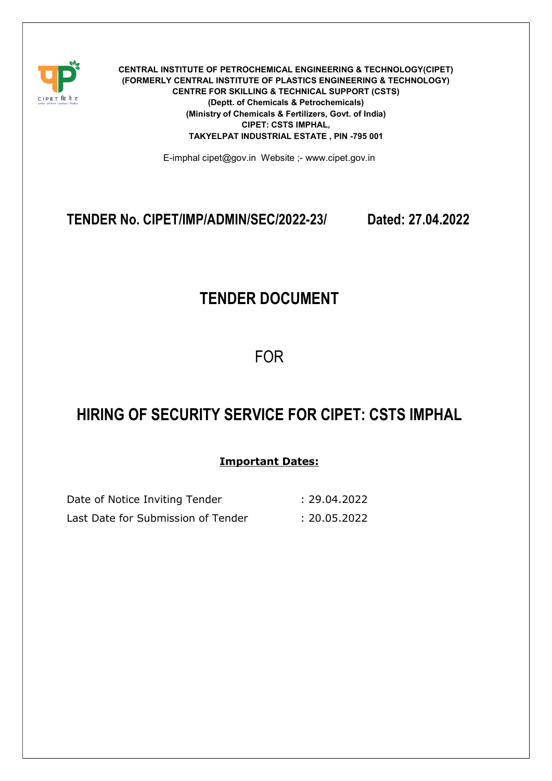

CENTRAL INSTITUTE OF PETROCHEMICAL ENGINEERING & TECHNOLOGY(CIPET) (FORMERLY CENTRAL INSTITUTE OF PLASTICS ENGINEERING & TECHNOLOGY) CENTRE FOR SKILLING & TECHNICAL SUPPORT (CSTS) (Deptt. of Chemicals & Petrochemicals) (Ministry of Chemicals & Fertilizers, Govt. of India) CIPET: CSTS IMPHAL, TAKYELPAT INDUSTRIAL ESTATE , PIN -795 001

E-imphal cipet@gov.in Website ;- www.cipet.gov.in

## TENDER No. CIPET/IMP/ADMIN/SEC/2022-23/ Dated: 27.04.2022

# TENDER DOCUMENT

FOR

# HIRING OF SECURITY SERVICE FOR CIPET: CSTS IMPHAL

### Important Dates:

| Date of Notice Inviting Tender     | :29.04.2022  |
|------------------------------------|--------------|
| Last Date for Submission of Tender | : 20.05.2022 |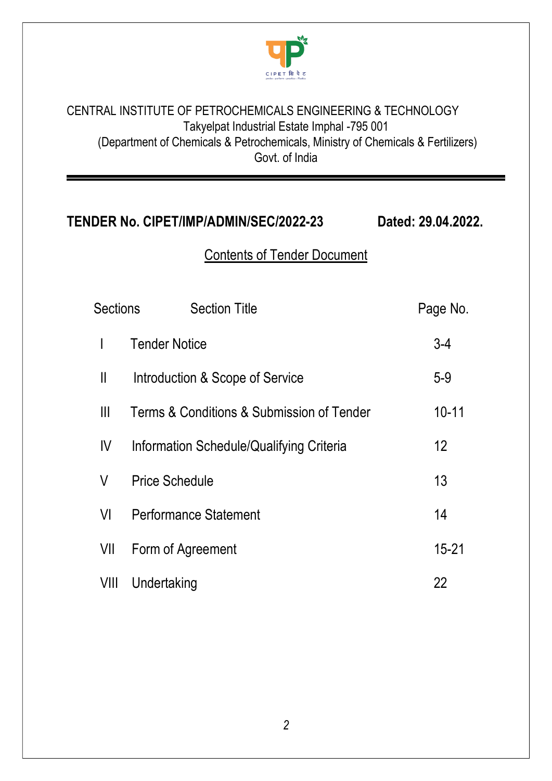

## CENTRAL INSTITUTE OF PETROCHEMICALS ENGINEERING & TECHNOLOGY Takyelpat Industrial Estate Imphal -795 001 (Department of Chemicals & Petrochemicals, Ministry of Chemicals & Fertilizers) Govt. of India

# TENDER No. CIPET/IMP/ADMIN/SEC/2022-23 Dated: 29.04.2022.

# Contents of Tender Document

| <b>Sections</b> | <b>Section Title</b>                      | Page No.  |
|-----------------|-------------------------------------------|-----------|
| T               | <b>Tender Notice</b>                      | $3-4$     |
| $\mathsf{I}$    | Introduction & Scope of Service           | $5-9$     |
| Ш               | Terms & Conditions & Submission of Tender | $10 - 11$ |
| IV              | Information Schedule/Qualifying Criteria  | 12        |
| V               | <b>Price Schedule</b>                     | 13        |
| VI              | <b>Performance Statement</b>              | 14        |
| VII             | Form of Agreement                         | $15 - 21$ |
| VIII            | Undertaking                               | 22        |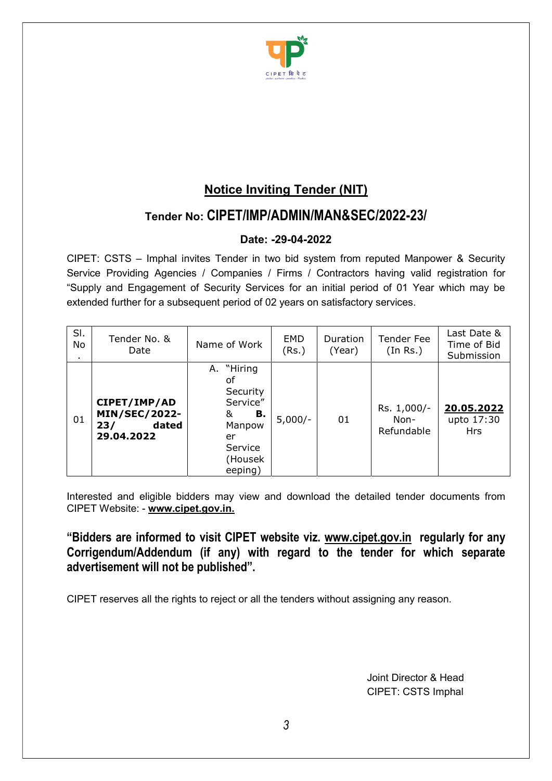

## Notice Inviting Tender (NIT)

## Tender No: CIPET/IMP/ADMIN/MAN&SEC/2022-23/

### Date: -29-04-2022

CIPET: CSTS – Imphal invites Tender in two bid system from reputed Manpower & Security Service Providing Agencies / Companies / Firms / Contractors having valid registration for "Supply and Engagement of Security Services for an initial period of 01 Year which may be extended further for a subsequent period of 02 years on satisfactory services.

| SI.<br>No | Tender No. &<br>Date                                               | Name of Work                                                                                            | EMD<br>(Rs.) | Duration<br>(Year) | <b>Tender Fee</b><br>(In Rs.)     | Last Date &<br>Time of Bid<br>Submission |
|-----------|--------------------------------------------------------------------|---------------------------------------------------------------------------------------------------------|--------------|--------------------|-----------------------------------|------------------------------------------|
| 01        | CIPET/IMP/AD<br><b>MIN/SEC/2022-</b><br>dated<br>23/<br>29.04.2022 | "Hiring<br>А.<br>οf<br>Security<br>Service"<br>В.<br>&<br>Manpow<br>er<br>Service<br>(Housek<br>eeping) | $5,000/-$    | 01                 | Rs. 1,000/-<br>Non-<br>Refundable | 20.05.2022<br>upto 17:30<br><b>Hrs</b>   |

Interested and eligible bidders may view and download the detailed tender documents from CIPET Website: - www.cipet.gov.in.

"Bidders are informed to visit CIPET website viz. www.cipet.gov.in regularly for any Corrigendum/Addendum (if any) with regard to the tender for which separate advertisement will not be published".

CIPET reserves all the rights to reject or all the tenders without assigning any reason.

Joint Director & Head CIPET: CSTS Imphal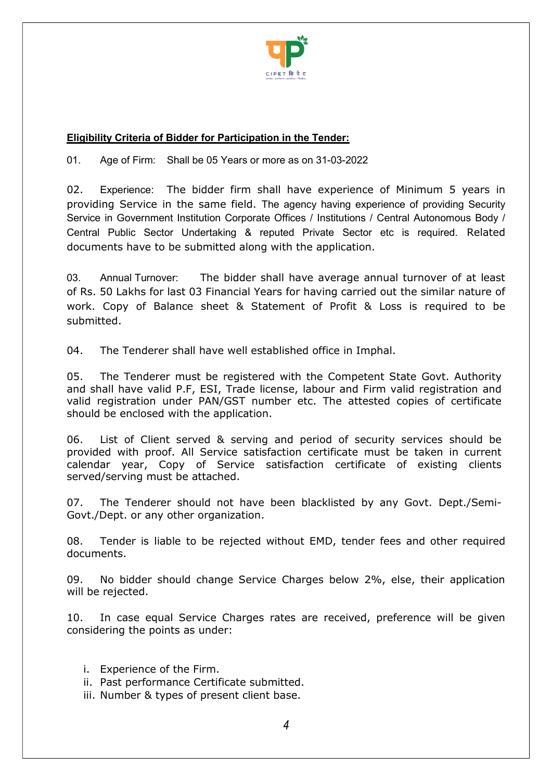

#### Eligibility Criteria of Bidder for Participation in the Tender:

01. Age of Firm: Shall be 05 Years or more as on 31-03-2022

02. Experience: The bidder firm shall have experience of Minimum 5 years in providing Service in the same field. The agency having experience of providing Security Service in Government Institution Corporate Offices / Institutions / Central Autonomous Body / Central Public Sector Undertaking & reputed Private Sector etc is required. Related documents have to be submitted along with the application.

03. Annual Turnover: The bidder shall have average annual turnover of at least of Rs. 50 Lakhs for last 03 Financial Years for having carried out the similar nature of work. Copy of Balance sheet & Statement of Profit & Loss is required to be submitted.

04. The Tenderer shall have well established office in Imphal.

05. The Tenderer must be registered with the Competent State Govt. Authority and shall have valid P.F, ESI, Trade license, labour and Firm valid registration and valid registration under PAN/GST number etc. The attested copies of certificate should be enclosed with the application.

06. List of Client served & serving and period of security services should be provided with proof. All Service satisfaction certificate must be taken in current calendar year, Copy of Service satisfaction certificate of existing clients served/serving must be attached.

07. The Tenderer should not have been blacklisted by any Govt. Dept./Semi-Govt./Dept. or any other organization.

08. Tender is liable to be rejected without EMD, tender fees and other required documents.

09. No bidder should change Service Charges below 2%, else, their application will be rejected.

10. In case equal Service Charges rates are received, preference will be given considering the points as under:

- i. Experience of the Firm.
- ii. Past performance Certificate submitted.
- iii. Number & types of present client base.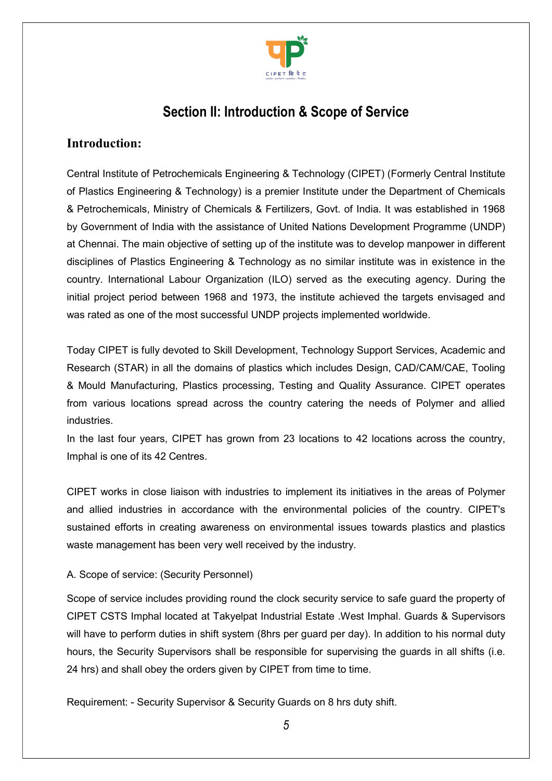

# Section II: Introduction & Scope of Service

### Introduction:

Central Institute of Petrochemicals Engineering & Technology (CIPET) (Formerly Central Institute of Plastics Engineering & Technology) is a premier Institute under the Department of Chemicals & Petrochemicals, Ministry of Chemicals & Fertilizers, Govt. of India. It was established in 1968 by Government of India with the assistance of United Nations Development Programme (UNDP) at Chennai. The main objective of setting up of the institute was to develop manpower in different disciplines of Plastics Engineering & Technology as no similar institute was in existence in the country. International Labour Organization (ILO) served as the executing agency. During the initial project period between 1968 and 1973, the institute achieved the targets envisaged and was rated as one of the most successful UNDP projects implemented worldwide.

Today CIPET is fully devoted to Skill Development, Technology Support Services, Academic and Research (STAR) in all the domains of plastics which includes Design, CAD/CAM/CAE, Tooling & Mould Manufacturing, Plastics processing, Testing and Quality Assurance. CIPET operates from various locations spread across the country catering the needs of Polymer and allied industries.

In the last four years, CIPET has grown from 23 locations to 42 locations across the country, Imphal is one of its 42 Centres.

CIPET works in close liaison with industries to implement its initiatives in the areas of Polymer and allied industries in accordance with the environmental policies of the country. CIPET's sustained efforts in creating awareness on environmental issues towards plastics and plastics waste management has been very well received by the industry.

#### A. Scope of service: (Security Personnel)

Scope of service includes providing round the clock security service to safe guard the property of CIPET CSTS Imphal located at Takyelpat Industrial Estate .West Imphal. Guards & Supervisors will have to perform duties in shift system (8hrs per guard per day). In addition to his normal duty hours, the Security Supervisors shall be responsible for supervising the guards in all shifts (i.e. 24 hrs) and shall obey the orders given by CIPET from time to time.

Requirement: - Security Supervisor & Security Guards on 8 hrs duty shift.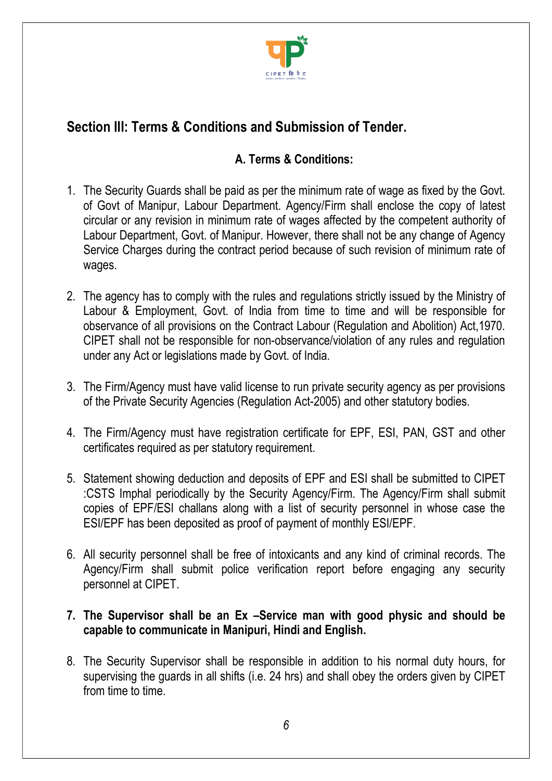

# Section III: Terms & Conditions and Submission of Tender.

## A. Terms & Conditions:

- 1. The Security Guards shall be paid as per the minimum rate of wage as fixed by the Govt. of Govt of Manipur, Labour Department. Agency/Firm shall enclose the copy of latest circular or any revision in minimum rate of wages affected by the competent authority of Labour Department, Govt. of Manipur. However, there shall not be any change of Agency Service Charges during the contract period because of such revision of minimum rate of wages.
- 2. The agency has to comply with the rules and regulations strictly issued by the Ministry of Labour & Employment, Govt. of India from time to time and will be responsible for observance of all provisions on the Contract Labour (Regulation and Abolition) Act,1970. CIPET shall not be responsible for non-observance/violation of any rules and regulation under any Act or legislations made by Govt. of India.
- 3. The Firm/Agency must have valid license to run private security agency as per provisions of the Private Security Agencies (Regulation Act-2005) and other statutory bodies.
- 4. The Firm/Agency must have registration certificate for EPF, ESI, PAN, GST and other certificates required as per statutory requirement.
- 5. Statement showing deduction and deposits of EPF and ESI shall be submitted to CIPET :CSTS Imphal periodically by the Security Agency/Firm. The Agency/Firm shall submit copies of EPF/ESI challans along with a list of security personnel in whose case the ESI/EPF has been deposited as proof of payment of monthly ESI/EPF.
- 6. All security personnel shall be free of intoxicants and any kind of criminal records. The Agency/Firm shall submit police verification report before engaging any security personnel at CIPET.
- 7. The Supervisor shall be an Ex –Service man with good physic and should be capable to communicate in Manipuri, Hindi and English.
- 8. The Security Supervisor shall be responsible in addition to his normal duty hours, for supervising the guards in all shifts (i.e. 24 hrs) and shall obey the orders given by CIPET from time to time.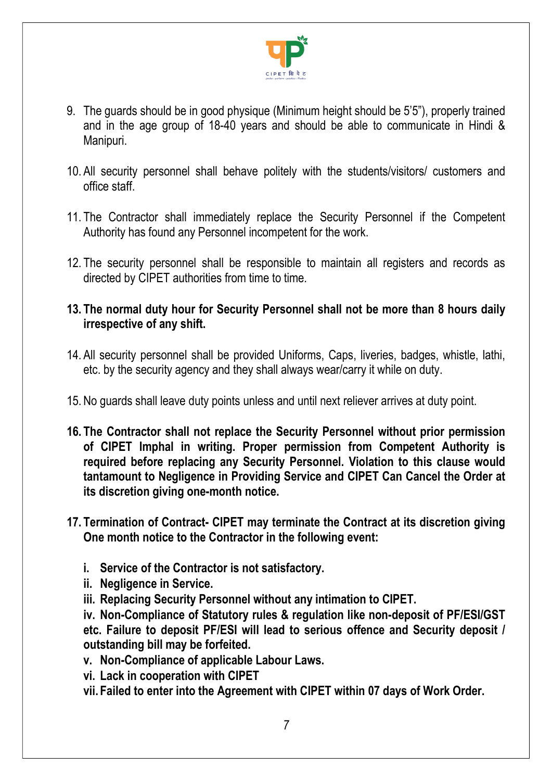

- 9. The guards should be in good physique (Minimum height should be 5'5"), properly trained and in the age group of 18-40 years and should be able to communicate in Hindi & Manipuri.
- 10. All security personnel shall behave politely with the students/visitors/ customers and office staff.
- 11. The Contractor shall immediately replace the Security Personnel if the Competent Authority has found any Personnel incompetent for the work.
- 12. The security personnel shall be responsible to maintain all registers and records as directed by CIPET authorities from time to time.
- 13. The normal duty hour for Security Personnel shall not be more than 8 hours daily irrespective of any shift.
- 14. All security personnel shall be provided Uniforms, Caps, liveries, badges, whistle, lathi, etc. by the security agency and they shall always wear/carry it while on duty.
- 15. No guards shall leave duty points unless and until next reliever arrives at duty point.
- 16. The Contractor shall not replace the Security Personnel without prior permission of CIPET Imphal in writing. Proper permission from Competent Authority is required before replacing any Security Personnel. Violation to this clause would tantamount to Negligence in Providing Service and CIPET Can Cancel the Order at its discretion giving one-month notice.
- 17. Termination of Contract- CIPET may terminate the Contract at its discretion giving One month notice to the Contractor in the following event:
	- i. Service of the Contractor is not satisfactory.
	- ii. Negligence in Service.
	- iii. Replacing Security Personnel without any intimation to CIPET.

iv. Non-Compliance of Statutory rules & regulation like non-deposit of PF/ESI/GST etc. Failure to deposit PF/ESI will lead to serious offence and Security deposit / outstanding bill may be forfeited.

- v. Non-Compliance of applicable Labour Laws.
- vi. Lack in cooperation with CIPET
- vii. Failed to enter into the Agreement with CIPET within 07 days of Work Order.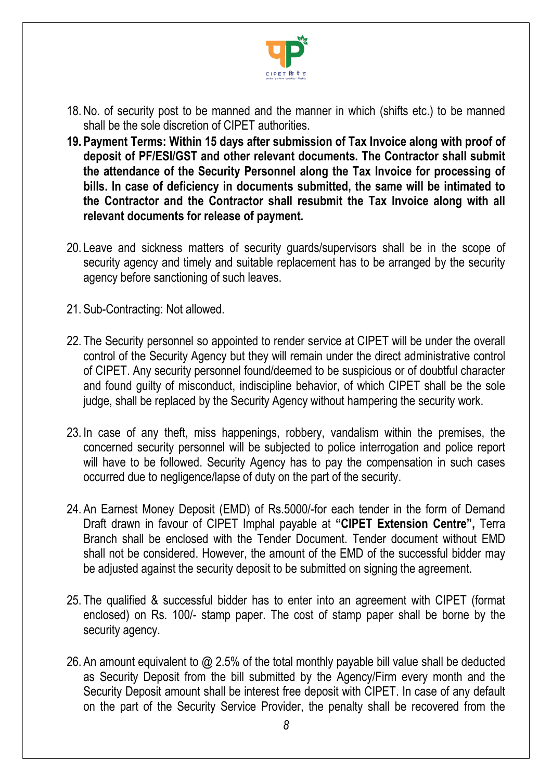

- 18. No. of security post to be manned and the manner in which (shifts etc.) to be manned shall be the sole discretion of CIPET authorities.
- 19. Payment Terms: Within 15 days after submission of Tax Invoice along with proof of deposit of PF/ESI/GST and other relevant documents. The Contractor shall submit the attendance of the Security Personnel along the Tax Invoice for processing of bills. In case of deficiency in documents submitted, the same will be intimated to the Contractor and the Contractor shall resubmit the Tax Invoice along with all relevant documents for release of payment.
- 20. Leave and sickness matters of security guards/supervisors shall be in the scope of security agency and timely and suitable replacement has to be arranged by the security agency before sanctioning of such leaves.
- 21. Sub-Contracting: Not allowed.
- 22. The Security personnel so appointed to render service at CIPET will be under the overall control of the Security Agency but they will remain under the direct administrative control of CIPET. Any security personnel found/deemed to be suspicious or of doubtful character and found guilty of misconduct, indiscipline behavior, of which CIPET shall be the sole judge, shall be replaced by the Security Agency without hampering the security work.
- 23. In case of any theft, miss happenings, robbery, vandalism within the premises, the concerned security personnel will be subjected to police interrogation and police report will have to be followed. Security Agency has to pay the compensation in such cases occurred due to negligence/lapse of duty on the part of the security.
- 24. An Earnest Money Deposit (EMD) of Rs.5000/-for each tender in the form of Demand Draft drawn in favour of CIPET Imphal payable at "CIPET Extension Centre", Terra Branch shall be enclosed with the Tender Document. Tender document without EMD shall not be considered. However, the amount of the EMD of the successful bidder may be adjusted against the security deposit to be submitted on signing the agreement.
- 25. The qualified & successful bidder has to enter into an agreement with CIPET (format enclosed) on Rs. 100/- stamp paper. The cost of stamp paper shall be borne by the security agency.
- 26. An amount equivalent to @ 2.5% of the total monthly payable bill value shall be deducted as Security Deposit from the bill submitted by the Agency/Firm every month and the Security Deposit amount shall be interest free deposit with CIPET. In case of any default on the part of the Security Service Provider, the penalty shall be recovered from the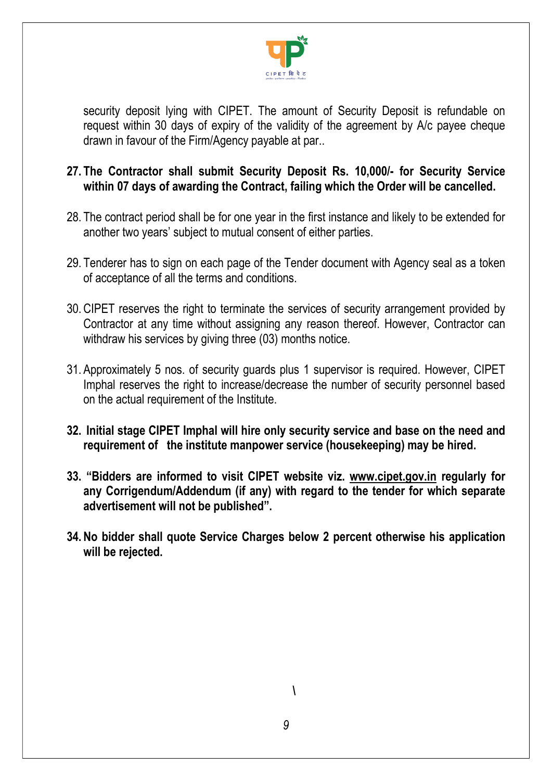

security deposit lying with CIPET. The amount of Security Deposit is refundable on request within 30 days of expiry of the validity of the agreement by A/c payee cheque drawn in favour of the Firm/Agency payable at par..

## 27. The Contractor shall submit Security Deposit Rs. 10,000/- for Security Service within 07 days of awarding the Contract, failing which the Order will be cancelled.

- 28. The contract period shall be for one year in the first instance and likely to be extended for another two years' subject to mutual consent of either parties.
- 29. Tenderer has to sign on each page of the Tender document with Agency seal as a token of acceptance of all the terms and conditions.
- 30. CIPET reserves the right to terminate the services of security arrangement provided by Contractor at any time without assigning any reason thereof. However, Contractor can withdraw his services by giving three (03) months notice.
- 31. Approximately 5 nos. of security guards plus 1 supervisor is required. However, CIPET Imphal reserves the right to increase/decrease the number of security personnel based on the actual requirement of the Institute.
- 32. Initial stage CIPET Imphal will hire only security service and base on the need and requirement of the institute manpower service (housekeeping) may be hired.
- 33. "Bidders are informed to visit CIPET website viz. www.cipet.gov.in regularly for any Corrigendum/Addendum (if any) with regard to the tender for which separate advertisement will not be published".
- 34. No bidder shall quote Service Charges below 2 percent otherwise his application will be rejected.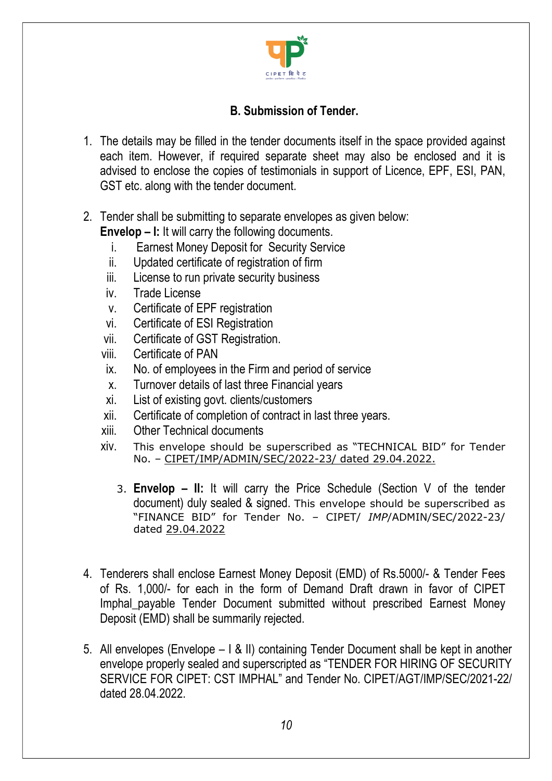

## B. Submission of Tender.

- 1. The details may be filled in the tender documents itself in the space provided against each item. However, if required separate sheet may also be enclosed and it is advised to enclose the copies of testimonials in support of Licence, EPF, ESI, PAN, GST etc. along with the tender document.
- 2. Tender shall be submitting to separate envelopes as given below: Envelop – I: It will carry the following documents.
	- i. Earnest Money Deposit for Security Service
	- ii. Updated certificate of registration of firm
	- iii. License to run private security business
	- iv. Trade License
	- v. Certificate of EPF registration
	- vi. Certificate of ESI Registration
	- vii. Certificate of GST Registration.
	- viii. Certificate of PAN
	- ix. No. of employees in the Firm and period of service
	- x. Turnover details of last three Financial years
	- xi. List of existing govt. clients/customers
	- xii. Certificate of completion of contract in last three years.
	- xiii. Other Technical documents
	- xiv. This envelope should be superscribed as "TECHNICAL BID" for Tender No. – CIPET/IMP/ADMIN/SEC/2022-23/ dated 29.04.2022.
		- 3. Envelop II: It will carry the Price Schedule (Section V of the tender document) duly sealed & signed. This envelope should be superscribed as "FINANCE BID" for Tender No. – CIPET/ IMP/ADMIN/SEC/2022-23/ dated 29.04.2022
- 4. Tenderers shall enclose Earnest Money Deposit (EMD) of Rs.5000/- & Tender Fees of Rs. 1,000/- for each in the form of Demand Draft drawn in favor of CIPET Imphal\_payable Tender Document submitted without prescribed Earnest Money Deposit (EMD) shall be summarily rejected.
- 5. All envelopes (Envelope I & II) containing Tender Document shall be kept in another envelope properly sealed and superscripted as "TENDER FOR HIRING OF SECURITY SERVICE FOR CIPET: CST IMPHAL" and Tender No. CIPET/AGT/IMP/SEC/2021-22/ dated 28.04.2022.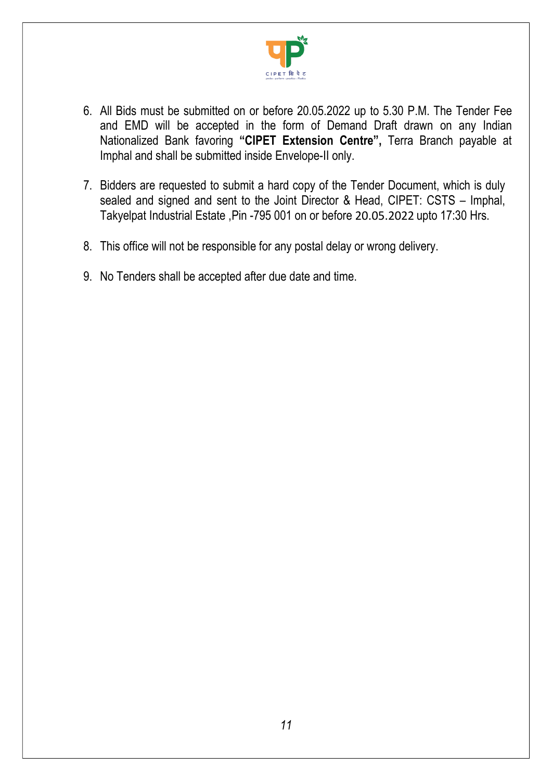

- 6. All Bids must be submitted on or before 20.05.2022 up to 5.30 P.M. The Tender Fee and EMD will be accepted in the form of Demand Draft drawn on any Indian Nationalized Bank favoring "CIPET Extension Centre", Terra Branch payable at Imphal and shall be submitted inside Envelope-II only.
- 7. Bidders are requested to submit a hard copy of the Tender Document, which is duly sealed and signed and sent to the Joint Director & Head, CIPET: CSTS – Imphal, Takyelpat Industrial Estate ,Pin -795 001 on or before 20.05.2022 upto 17:30 Hrs.
- 8. This office will not be responsible for any postal delay or wrong delivery.
- 9. No Tenders shall be accepted after due date and time.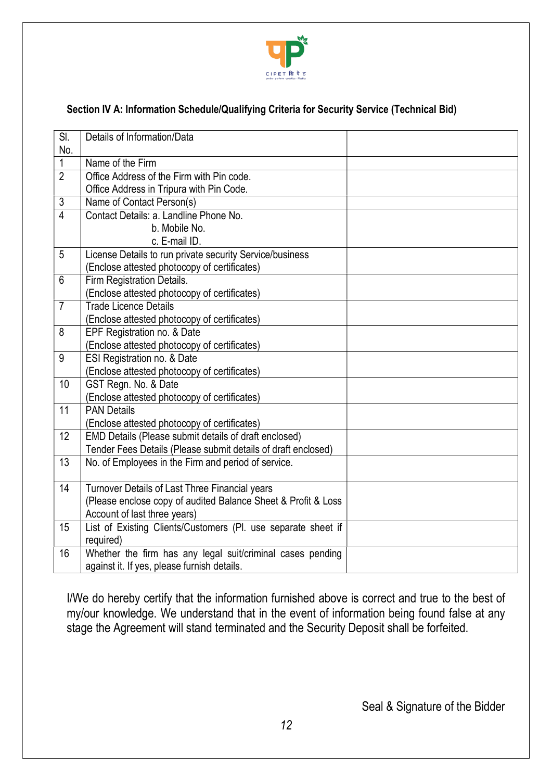

### Section IV A: Information Schedule/Qualifying Criteria for Security Service (Technical Bid)

| $\overline{\text{SI}}$ . | Details of Information/Data                                   |  |
|--------------------------|---------------------------------------------------------------|--|
| No.                      |                                                               |  |
| $\mathbf 1$              | Name of the Firm                                              |  |
| $\overline{2}$           | Office Address of the Firm with Pin code.                     |  |
|                          | Office Address in Tripura with Pin Code.                      |  |
| $\sqrt{3}$               | Name of Contact Person(s)                                     |  |
| $\overline{4}$           | Contact Details: a. Landline Phone No.                        |  |
|                          | b. Mobile No.                                                 |  |
|                          | c. E-mail ID.                                                 |  |
| 5                        | License Details to run private security Service/business      |  |
|                          | (Enclose attested photocopy of certificates)                  |  |
| 6                        | Firm Registration Details.                                    |  |
|                          | (Enclose attested photocopy of certificates)                  |  |
| $\overline{7}$           | <b>Trade Licence Details</b>                                  |  |
|                          | (Enclose attested photocopy of certificates)                  |  |
| 8                        | EPF Registration no. & Date                                   |  |
|                          | (Enclose attested photocopy of certificates)                  |  |
| 9                        | ESI Registration no. & Date                                   |  |
|                          | (Enclose attested photocopy of certificates)                  |  |
| 10                       | GST Regn. No. & Date                                          |  |
|                          | (Enclose attested photocopy of certificates)                  |  |
| 11                       | <b>PAN Details</b>                                            |  |
|                          | (Enclose attested photocopy of certificates)                  |  |
| 12                       | EMD Details (Please submit details of draft enclosed)         |  |
|                          | Tender Fees Details (Please submit details of draft enclosed) |  |
| 13                       | No. of Employees in the Firm and period of service.           |  |
|                          |                                                               |  |
| 14                       | Turnover Details of Last Three Financial years                |  |
|                          | (Please enclose copy of audited Balance Sheet & Profit & Loss |  |
|                          | Account of last three years)                                  |  |
| $\overline{15}$          | List of Existing Clients/Customers (Pl. use separate sheet if |  |
|                          | required)                                                     |  |
| 16                       | Whether the firm has any legal suit/criminal cases pending    |  |
|                          | against it. If yes, please furnish details.                   |  |

I/We do hereby certify that the information furnished above is correct and true to the best of my/our knowledge. We understand that in the event of information being found false at any stage the Agreement will stand terminated and the Security Deposit shall be forfeited.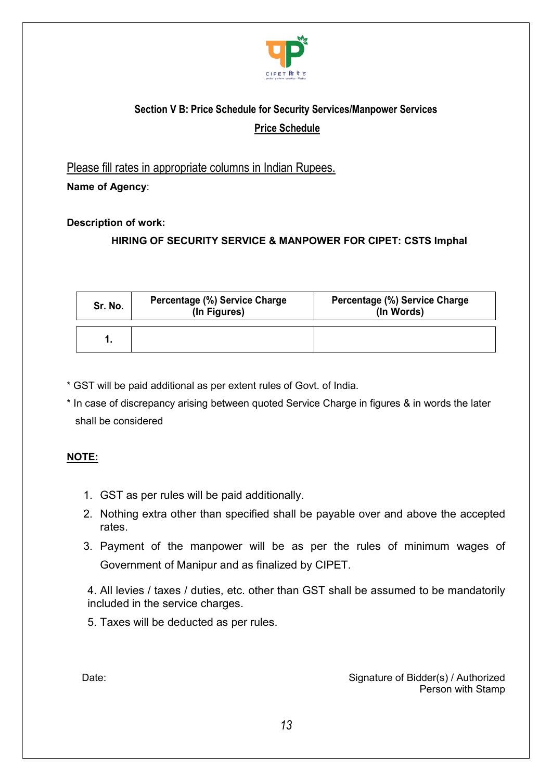

## Section V B: Price Schedule for Security Services/Manpower Services Price Schedule

Please fill rates in appropriate columns in Indian Rupees.

Name of Agency:

Description of work:

### HIRING OF SECURITY SERVICE & MANPOWER FOR CIPET: CSTS Imphal

| Sr. No. | Percentage (%) Service Charge<br>(In Figures) | <b>Percentage (%) Service Charge</b><br>(In Words) |  |
|---------|-----------------------------------------------|----------------------------------------------------|--|
|         |                                               |                                                    |  |

- \* GST will be paid additional as per extent rules of Govt. of India.
- \* In case of discrepancy arising between quoted Service Charge in figures & in words the later shall be considered

#### NOTE:

- 1. GST as per rules will be paid additionally.
- 2. Nothing extra other than specified shall be payable over and above the accepted rates.
- 3. Payment of the manpower will be as per the rules of minimum wages of Government of Manipur and as finalized by CIPET.

4. All levies / taxes / duties, etc. other than GST shall be assumed to be mandatorily included in the service charges.

5. Taxes will be deducted as per rules.

Date: Date: Signature of Bidder(s) / Authorized Person with Stamp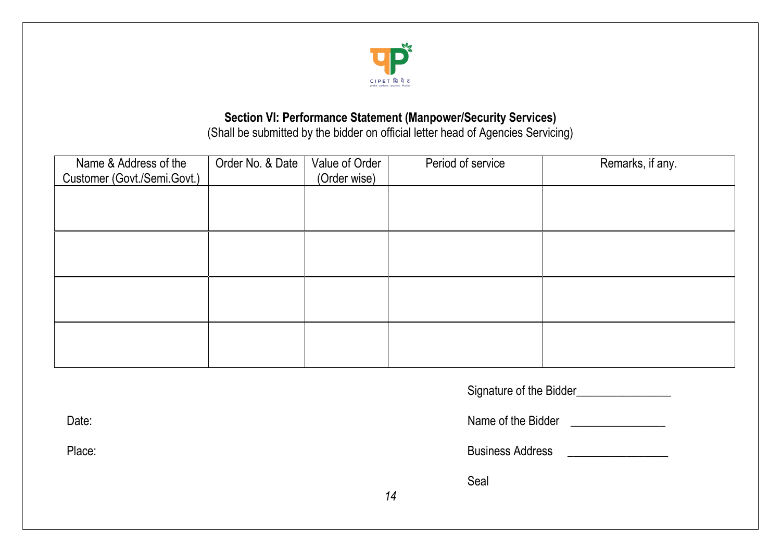

## Section VI: Performance Statement (Manpower/Security Services)

(Shall be submitted by the bidder on official letter head of Agencies Servicing)

| Name & Address of the       | Order No. & Date | Value of Order |    | Period of service       | Remarks, if any.                      |
|-----------------------------|------------------|----------------|----|-------------------------|---------------------------------------|
| Customer (Govt./Semi.Govt.) |                  | (Order wise)   |    |                         |                                       |
|                             |                  |                |    |                         |                                       |
|                             |                  |                |    |                         |                                       |
|                             |                  |                |    |                         |                                       |
|                             |                  |                |    |                         |                                       |
|                             |                  |                |    |                         |                                       |
|                             |                  |                |    |                         |                                       |
|                             |                  |                |    |                         |                                       |
|                             |                  |                |    |                         |                                       |
|                             |                  |                |    |                         |                                       |
|                             |                  |                |    |                         |                                       |
| Date:                       |                  |                |    |                         | Name of the Bidder Name of the Bidder |
| Place:                      |                  |                |    | <b>Business Address</b> |                                       |
|                             |                  |                |    | Seal                    |                                       |
|                             |                  |                | 14 |                         |                                       |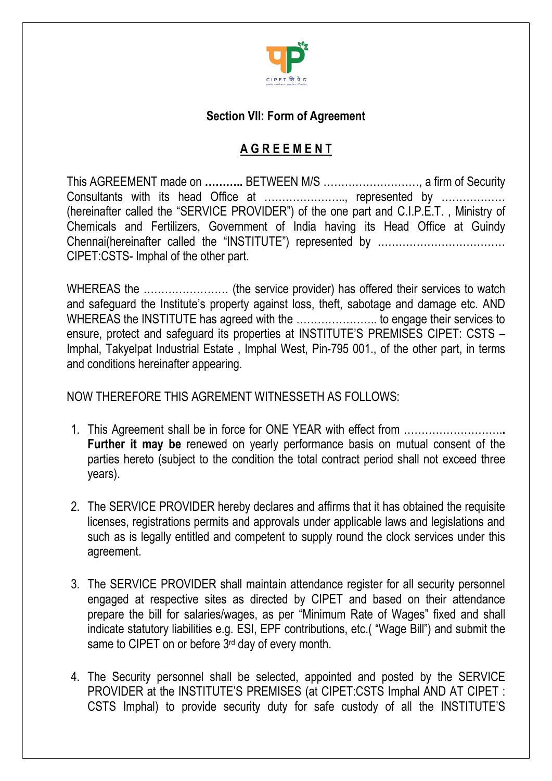

## Section VII: Form of Agreement

## A G R E E M E N T

This AGREEMENT made on ……….. BETWEEN M/S ………………………, a firm of Security Consultants with its head Office at ………………….., represented by ……………… (hereinafter called the "SERVICE PROVIDER") of the one part and C.I.P.E.T. , Ministry of Chemicals and Fertilizers, Government of India having its Head Office at Guindy Chennai(hereinafter called the "INSTITUTE") represented by ……………………………… CIPET:CSTS- Imphal of the other part.

WHEREAS the …………………… (the service provider) has offered their services to watch and safeguard the Institute's property against loss, theft, sabotage and damage etc. AND WHEREAS the INSTITUTE has agreed with the .............................. to engage their services to ensure, protect and safeguard its properties at INSTITUTE'S PREMISES CIPET: CSTS – Imphal, Takyelpat Industrial Estate , Imphal West, Pin-795 001., of the other part, in terms and conditions hereinafter appearing.

NOW THEREFORE THIS AGREMENT WITNESSETH AS FOLLOWS:

- 1. This Agreement shall be in force for ONE YEAR with effect from ……………………….. Further it may be renewed on yearly performance basis on mutual consent of the parties hereto (subject to the condition the total contract period shall not exceed three years).
- 2. The SERVICE PROVIDER hereby declares and affirms that it has obtained the requisite licenses, registrations permits and approvals under applicable laws and legislations and such as is legally entitled and competent to supply round the clock services under this agreement.
- 3. The SERVICE PROVIDER shall maintain attendance register for all security personnel engaged at respective sites as directed by CIPET and based on their attendance prepare the bill for salaries/wages, as per "Minimum Rate of Wages" fixed and shall indicate statutory liabilities e.g. ESI, EPF contributions, etc.( "Wage Bill") and submit the same to CIPET on or before 3<sup>rd</sup> day of every month.
- 4. The Security personnel shall be selected, appointed and posted by the SERVICE PROVIDER at the INSTITUTE'S PREMISES (at CIPET:CSTS Imphal AND AT CIPET : CSTS Imphal) to provide security duty for safe custody of all the INSTITUTE'S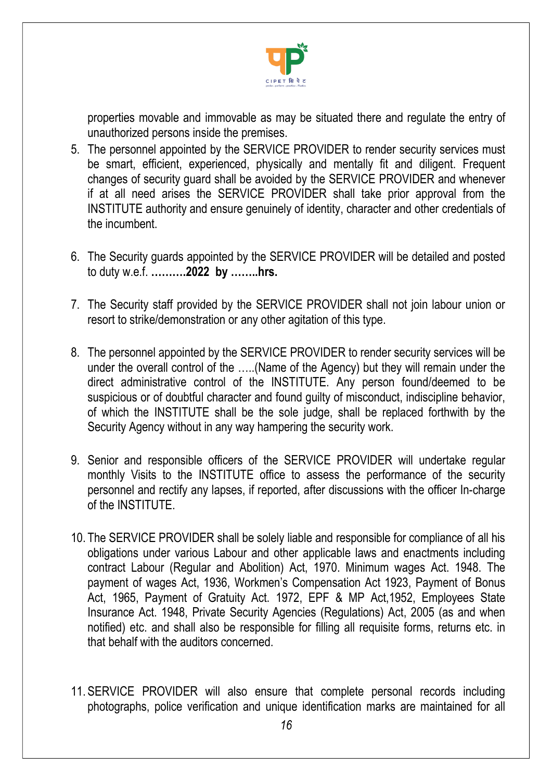

properties movable and immovable as may be situated there and regulate the entry of unauthorized persons inside the premises.

- 5. The personnel appointed by the SERVICE PROVIDER to render security services must be smart, efficient, experienced, physically and mentally fit and diligent. Frequent changes of security guard shall be avoided by the SERVICE PROVIDER and whenever if at all need arises the SERVICE PROVIDER shall take prior approval from the INSTITUTE authority and ensure genuinely of identity, character and other credentials of the incumbent.
- 6. The Security guards appointed by the SERVICE PROVIDER will be detailed and posted to duty w.e.f. ……….2022 by ……..hrs.
- 7. The Security staff provided by the SERVICE PROVIDER shall not join labour union or resort to strike/demonstration or any other agitation of this type.
- 8. The personnel appointed by the SERVICE PROVIDER to render security services will be under the overall control of the …..(Name of the Agency) but they will remain under the direct administrative control of the INSTITUTE. Any person found/deemed to be suspicious or of doubtful character and found guilty of misconduct, indiscipline behavior, of which the INSTITUTE shall be the sole judge, shall be replaced forthwith by the Security Agency without in any way hampering the security work.
- 9. Senior and responsible officers of the SERVICE PROVIDER will undertake regular monthly Visits to the INSTITUTE office to assess the performance of the security personnel and rectify any lapses, if reported, after discussions with the officer In-charge of the INSTITUTE.
- 10. The SERVICE PROVIDER shall be solely liable and responsible for compliance of all his obligations under various Labour and other applicable laws and enactments including contract Labour (Regular and Abolition) Act, 1970. Minimum wages Act. 1948. The payment of wages Act, 1936, Workmen's Compensation Act 1923, Payment of Bonus Act, 1965, Payment of Gratuity Act. 1972, EPF & MP Act,1952, Employees State Insurance Act. 1948, Private Security Agencies (Regulations) Act, 2005 (as and when notified) etc. and shall also be responsible for filling all requisite forms, returns etc. in that behalf with the auditors concerned.
- 11. SERVICE PROVIDER will also ensure that complete personal records including photographs, police verification and unique identification marks are maintained for all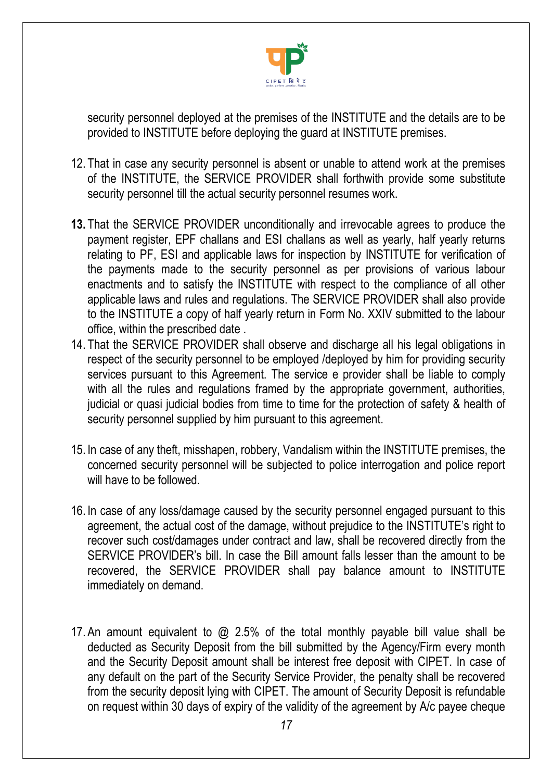

security personnel deployed at the premises of the INSTITUTE and the details are to be provided to INSTITUTE before deploying the guard at INSTITUTE premises.

- 12. That in case any security personnel is absent or unable to attend work at the premises of the INSTITUTE, the SERVICE PROVIDER shall forthwith provide some substitute security personnel till the actual security personnel resumes work.
- 13. That the SERVICE PROVIDER unconditionally and irrevocable agrees to produce the payment register, EPF challans and ESI challans as well as yearly, half yearly returns relating to PF, ESI and applicable laws for inspection by INSTITUTE for verification of the payments made to the security personnel as per provisions of various labour enactments and to satisfy the INSTITUTE with respect to the compliance of all other applicable laws and rules and regulations. The SERVICE PROVIDER shall also provide to the INSTITUTE a copy of half yearly return in Form No. XXIV submitted to the labour office, within the prescribed date .
- 14. That the SERVICE PROVIDER shall observe and discharge all his legal obligations in respect of the security personnel to be employed /deployed by him for providing security services pursuant to this Agreement. The service e provider shall be liable to comply with all the rules and regulations framed by the appropriate government, authorities, judicial or quasi judicial bodies from time to time for the protection of safety & health of security personnel supplied by him pursuant to this agreement.
- 15. In case of any theft, misshapen, robbery, Vandalism within the INSTITUTE premises, the concerned security personnel will be subjected to police interrogation and police report will have to be followed.
- 16. In case of any loss/damage caused by the security personnel engaged pursuant to this agreement, the actual cost of the damage, without prejudice to the INSTITUTE's right to recover such cost/damages under contract and law, shall be recovered directly from the SERVICE PROVIDER's bill. In case the Bill amount falls lesser than the amount to be recovered, the SERVICE PROVIDER shall pay balance amount to INSTITUTE immediately on demand.
- 17. An amount equivalent to @ 2.5% of the total monthly payable bill value shall be deducted as Security Deposit from the bill submitted by the Agency/Firm every month and the Security Deposit amount shall be interest free deposit with CIPET. In case of any default on the part of the Security Service Provider, the penalty shall be recovered from the security deposit lying with CIPET. The amount of Security Deposit is refundable on request within 30 days of expiry of the validity of the agreement by A/c payee cheque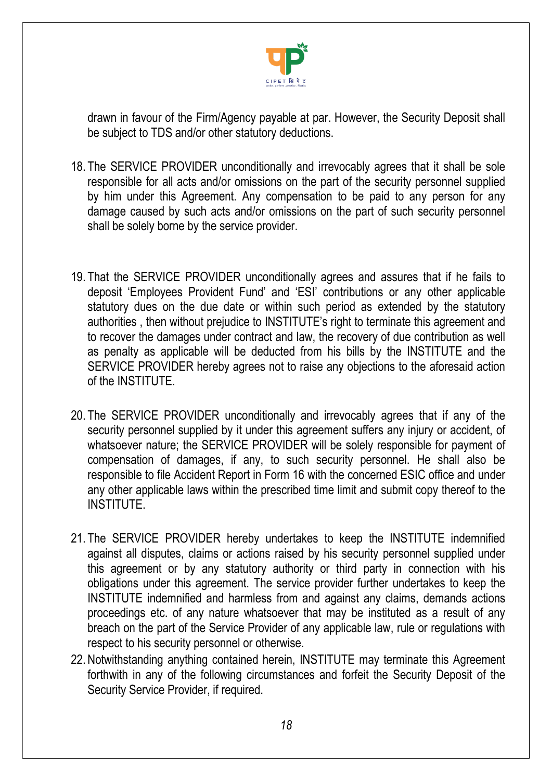

drawn in favour of the Firm/Agency payable at par. However, the Security Deposit shall be subject to TDS and/or other statutory deductions.

- 18. The SERVICE PROVIDER unconditionally and irrevocably agrees that it shall be sole responsible for all acts and/or omissions on the part of the security personnel supplied by him under this Agreement. Any compensation to be paid to any person for any damage caused by such acts and/or omissions on the part of such security personnel shall be solely borne by the service provider.
- 19. That the SERVICE PROVIDER unconditionally agrees and assures that if he fails to deposit 'Employees Provident Fund' and 'ESI' contributions or any other applicable statutory dues on the due date or within such period as extended by the statutory authorities , then without prejudice to INSTITUTE's right to terminate this agreement and to recover the damages under contract and law, the recovery of due contribution as well as penalty as applicable will be deducted from his bills by the INSTITUTE and the SERVICE PROVIDER hereby agrees not to raise any objections to the aforesaid action of the INSTITUTE.
- 20. The SERVICE PROVIDER unconditionally and irrevocably agrees that if any of the security personnel supplied by it under this agreement suffers any injury or accident, of whatsoever nature; the SERVICE PROVIDER will be solely responsible for payment of compensation of damages, if any, to such security personnel. He shall also be responsible to file Accident Report in Form 16 with the concerned ESIC office and under any other applicable laws within the prescribed time limit and submit copy thereof to the INSTITUTE.
- 21. The SERVICE PROVIDER hereby undertakes to keep the INSTITUTE indemnified against all disputes, claims or actions raised by his security personnel supplied under this agreement or by any statutory authority or third party in connection with his obligations under this agreement. The service provider further undertakes to keep the INSTITUTE indemnified and harmless from and against any claims, demands actions proceedings etc. of any nature whatsoever that may be instituted as a result of any breach on the part of the Service Provider of any applicable law, rule or regulations with respect to his security personnel or otherwise.
- 22. Notwithstanding anything contained herein, INSTITUTE may terminate this Agreement forthwith in any of the following circumstances and forfeit the Security Deposit of the Security Service Provider, if required.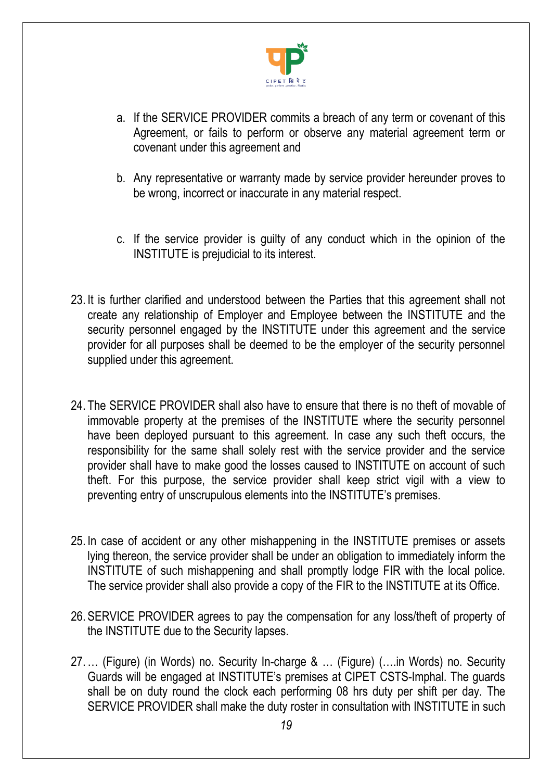

- a. If the SERVICE PROVIDER commits a breach of any term or covenant of this Agreement, or fails to perform or observe any material agreement term or covenant under this agreement and
- b. Any representative or warranty made by service provider hereunder proves to be wrong, incorrect or inaccurate in any material respect.
- c. If the service provider is guilty of any conduct which in the opinion of the INSTITUTE is prejudicial to its interest.
- 23. It is further clarified and understood between the Parties that this agreement shall not create any relationship of Employer and Employee between the INSTITUTE and the security personnel engaged by the INSTITUTE under this agreement and the service provider for all purposes shall be deemed to be the employer of the security personnel supplied under this agreement.
- 24. The SERVICE PROVIDER shall also have to ensure that there is no theft of movable of immovable property at the premises of the INSTITUTE where the security personnel have been deployed pursuant to this agreement. In case any such theft occurs, the responsibility for the same shall solely rest with the service provider and the service provider shall have to make good the losses caused to INSTITUTE on account of such theft. For this purpose, the service provider shall keep strict vigil with a view to preventing entry of unscrupulous elements into the INSTITUTE's premises.
- 25. In case of accident or any other mishappening in the INSTITUTE premises or assets lying thereon, the service provider shall be under an obligation to immediately inform the INSTITUTE of such mishappening and shall promptly lodge FIR with the local police. The service provider shall also provide a copy of the FIR to the INSTITUTE at its Office.
- 26. SERVICE PROVIDER agrees to pay the compensation for any loss/theft of property of the INSTITUTE due to the Security lapses.
- 27. … (Figure) (in Words) no. Security In-charge & … (Figure) (….in Words) no. Security Guards will be engaged at INSTITUTE's premises at CIPET CSTS-Imphal. The guards shall be on duty round the clock each performing 08 hrs duty per shift per day. The SERVICE PROVIDER shall make the duty roster in consultation with INSTITUTE in such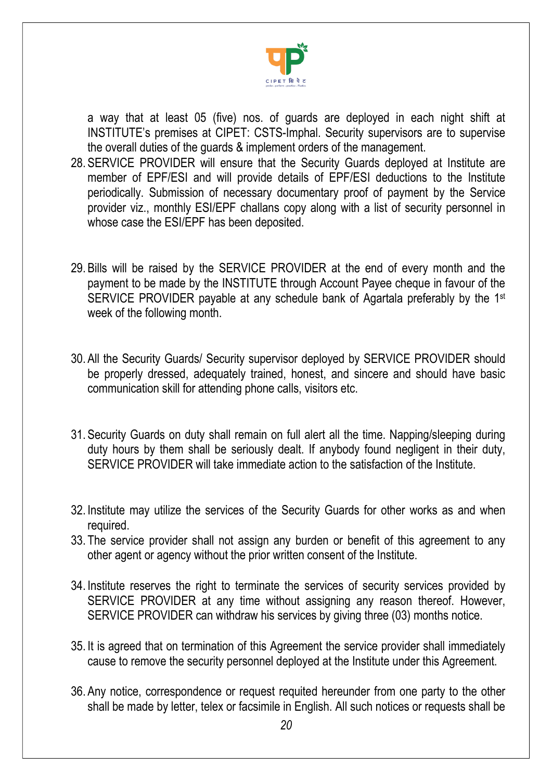

a way that at least 05 (five) nos. of guards are deployed in each night shift at INSTITUTE's premises at CIPET: CSTS-Imphal. Security supervisors are to supervise the overall duties of the guards & implement orders of the management.

- 28. SERVICE PROVIDER will ensure that the Security Guards deployed at Institute are member of EPF/ESI and will provide details of EPF/ESI deductions to the Institute periodically. Submission of necessary documentary proof of payment by the Service provider viz., monthly ESI/EPF challans copy along with a list of security personnel in whose case the ESI/EPF has been deposited.
- 29. Bills will be raised by the SERVICE PROVIDER at the end of every month and the payment to be made by the INSTITUTE through Account Payee cheque in favour of the SERVICE PROVIDER payable at any schedule bank of Agartala preferably by the 1st week of the following month.
- 30. All the Security Guards/ Security supervisor deployed by SERVICE PROVIDER should be properly dressed, adequately trained, honest, and sincere and should have basic communication skill for attending phone calls, visitors etc.
- 31. Security Guards on duty shall remain on full alert all the time. Napping/sleeping during duty hours by them shall be seriously dealt. If anybody found negligent in their duty, SERVICE PROVIDER will take immediate action to the satisfaction of the Institute.
- 32. Institute may utilize the services of the Security Guards for other works as and when required.
- 33. The service provider shall not assign any burden or benefit of this agreement to any other agent or agency without the prior written consent of the Institute.
- 34. Institute reserves the right to terminate the services of security services provided by SERVICE PROVIDER at any time without assigning any reason thereof. However, SERVICE PROVIDER can withdraw his services by giving three (03) months notice.
- 35. It is agreed that on termination of this Agreement the service provider shall immediately cause to remove the security personnel deployed at the Institute under this Agreement.
- 36. Any notice, correspondence or request requited hereunder from one party to the other shall be made by letter, telex or facsimile in English. All such notices or requests shall be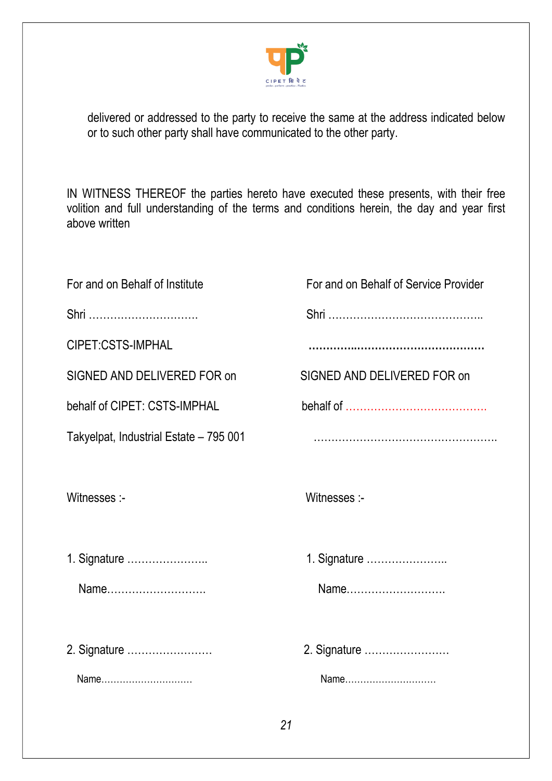

delivered or addressed to the party to receive the same at the address indicated below or to such other party shall have communicated to the other party.

IN WITNESS THEREOF the parties hereto have executed these presents, with their free volition and full understanding of the terms and conditions herein, the day and year first above written

| For and on Behalf of Institute         | For and on Behalf of Service Provider |
|----------------------------------------|---------------------------------------|
| Shri                                   |                                       |
| CIPET:CSTS-IMPHAL                      |                                       |
| SIGNED AND DELIVERED FOR on            | SIGNED AND DELIVERED FOR on           |
| behalf of CIPET: CSTS-IMPHAL           |                                       |
| Takyelpat, Industrial Estate - 795 001 |                                       |
| Witnesses :-                           | Witnesses :-                          |
|                                        |                                       |
| 1. Signature                           | 1. Signature                          |
| Name                                   | Name                                  |
|                                        |                                       |
|                                        | 2. Signature                          |
| Name                                   | Name                                  |
|                                        |                                       |